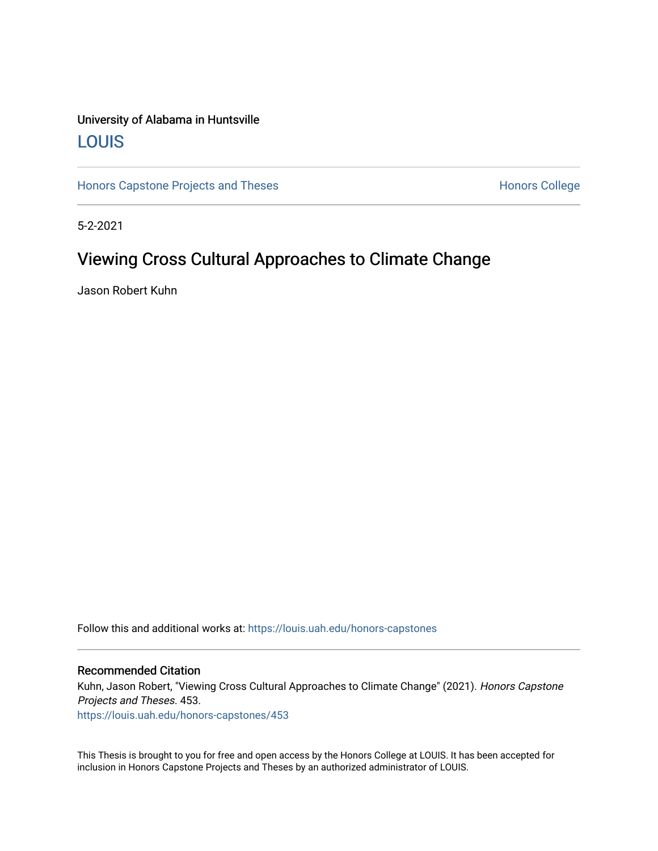# University of Alabama in Huntsville [LOUIS](https://louis.uah.edu/)

[Honors Capstone Projects and Theses](https://louis.uah.edu/honors-capstones) **Honors College** Honors College

5-2-2021

# Viewing Cross Cultural Approaches to Climate Change

Jason Robert Kuhn

Follow this and additional works at: [https://louis.uah.edu/honors-capstones](https://louis.uah.edu/honors-capstones?utm_source=louis.uah.edu%2Fhonors-capstones%2F453&utm_medium=PDF&utm_campaign=PDFCoverPages) 

#### Recommended Citation

Kuhn, Jason Robert, "Viewing Cross Cultural Approaches to Climate Change" (2021). Honors Capstone Projects and Theses. 453.

[https://louis.uah.edu/honors-capstones/453](https://louis.uah.edu/honors-capstones/453?utm_source=louis.uah.edu%2Fhonors-capstones%2F453&utm_medium=PDF&utm_campaign=PDFCoverPages) 

This Thesis is brought to you for free and open access by the Honors College at LOUIS. It has been accepted for inclusion in Honors Capstone Projects and Theses by an authorized administrator of LOUIS.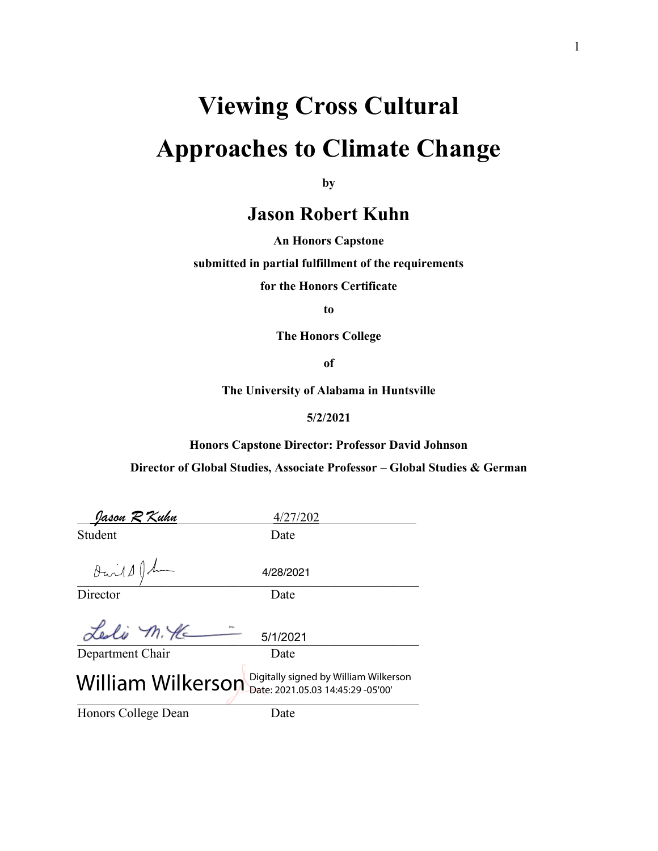# **Viewing Cross Cultural Approaches to Climate Change**

**by**

# **Jason Robert Kuhn**

**An Honors Capstone**

**submitted in partial fulfillment of the requirements** 

**for the Honors Certificate**

**to** 

**The Honors College** 

**of** 

**The University of Alabama in Huntsville**

#### **5/2/2021**

**Honors Capstone Director: Professor David Johnson**

**Director of Global Studies, Associate Professor – Global Studies & German**

| <u>Jason R Kuhn</u>                  | 4/27/202                                                                   |
|--------------------------------------|----------------------------------------------------------------------------|
| Student                              | Date                                                                       |
| $\partial \dot{\omega}$ 11 $\int$ du | 4/28/2021                                                                  |
| Director                             | Date                                                                       |
| Leslie M. He                         | 5/1/2021                                                                   |
| Department Chair                     | Date                                                                       |
| <b>William Wilkerson</b>             | Digitally signed by William Wilkerson<br>Date: 2021.05.03 14:45:29 -05'00' |
| Honors College Dean                  | Date                                                                       |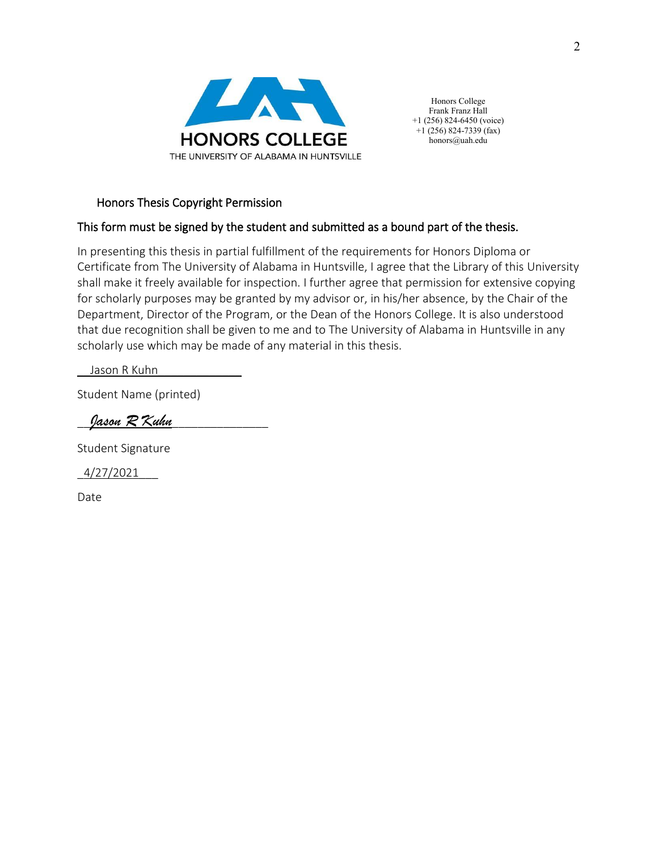

Honors College Frank Franz Hall +1 (256) 824-6450 (voice)  $+1$  (256) 824-7339 (fax) honors@uah.edu

#### Honors Thesis Copyright Permission

#### This form must be signed by the student and submitted as a bound part of the thesis.

In presenting this thesis in partial fulfillment of the requirements for Honors Diploma or Certificate from The University of Alabama in Huntsville, I agree that the Library of this University shall make it freely available for inspection. I further agree that permission for extensive copying for scholarly purposes may be granted by my advisor or, in his/her absence, by the Chair of the Department, Director of the Program, or the Dean of the Honors College. It is also understood that due recognition shall be given to me and to The University of Alabama in Huntsville in any scholarly use which may be made of any material in this thesis.

Jason R Kuhn

Student Name (printed)

Jason  $\cal R$  Kuhn

Student Signature

 $4/27/2021$ 

Date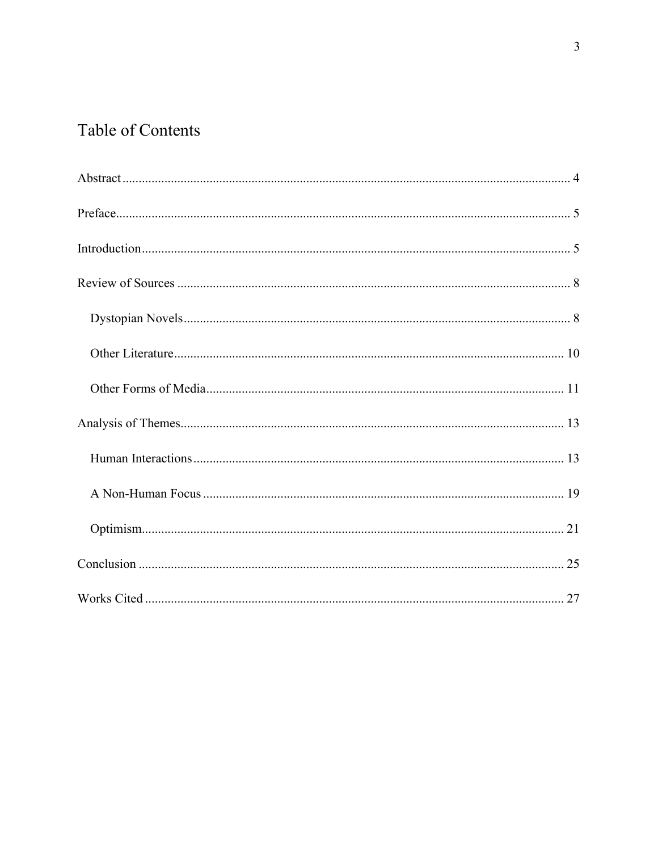# Table of Contents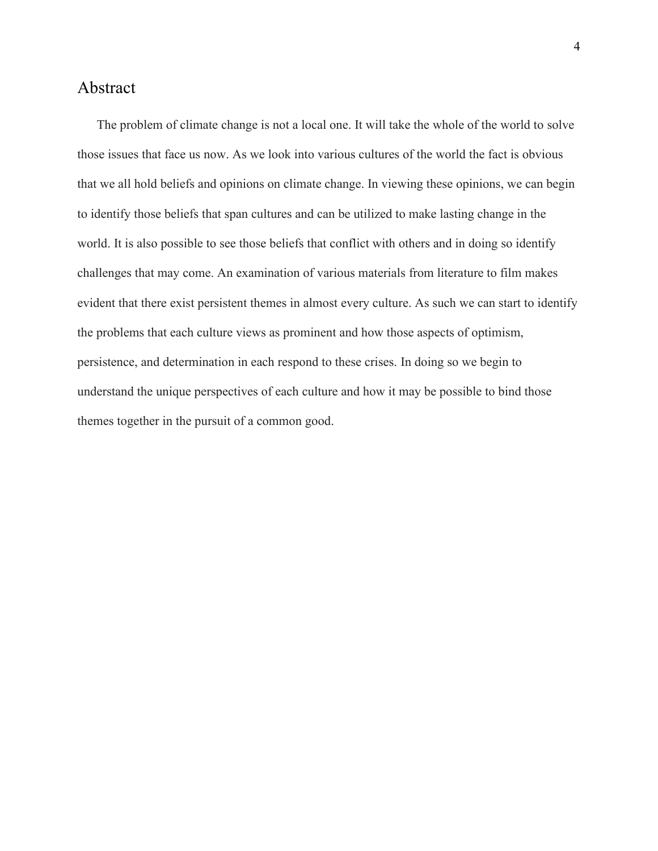# <span id="page-4-0"></span>Abstract

The problem of climate change is not a local one. It will take the whole of the world to solve those issues that face us now. As we look into various cultures of the world the fact is obvious that we all hold beliefs and opinions on climate change. In viewing these opinions, we can begin to identify those beliefs that span cultures and can be utilized to make lasting change in the world. It is also possible to see those beliefs that conflict with others and in doing so identify challenges that may come. An examination of various materials from literature to film makes evident that there exist persistent themes in almost every culture. As such we can start to identify the problems that each culture views as prominent and how those aspects of optimism, persistence, and determination in each respond to these crises. In doing so we begin to understand the unique perspectives of each culture and how it may be possible to bind those themes together in the pursuit of a common good.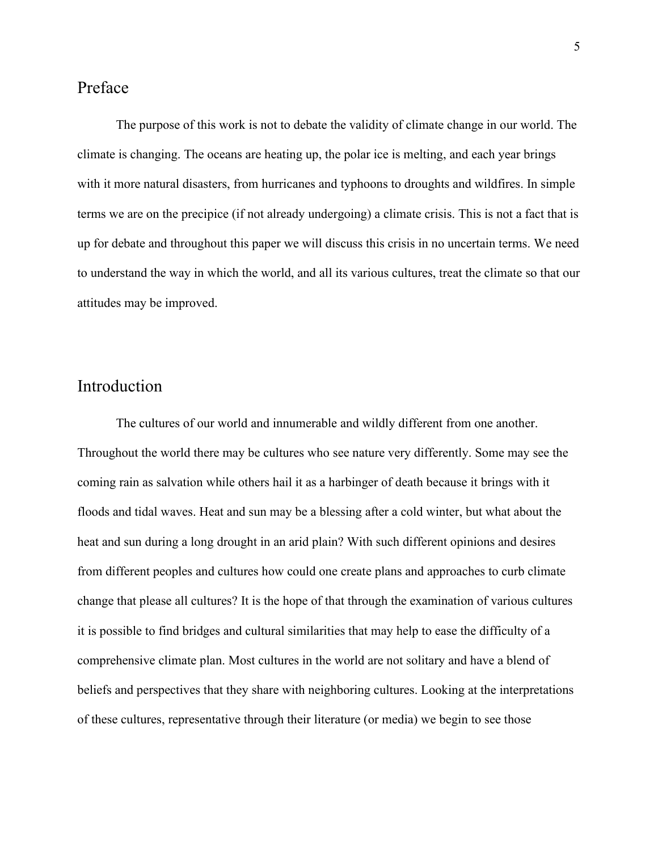# <span id="page-5-0"></span>Preface

The purpose of this work is not to debate the validity of climate change in our world. The climate is changing. The oceans are heating up, the polar ice is melting, and each year brings with it more natural disasters, from hurricanes and typhoons to droughts and wildfires. In simple terms we are on the precipice (if not already undergoing) a climate crisis. This is not a fact that is up for debate and throughout this paper we will discuss this crisis in no uncertain terms. We need to understand the way in which the world, and all its various cultures, treat the climate so that our attitudes may be improved.

# <span id="page-5-1"></span>Introduction

The cultures of our world and innumerable and wildly different from one another. Throughout the world there may be cultures who see nature very differently. Some may see the coming rain as salvation while others hail it as a harbinger of death because it brings with it floods and tidal waves. Heat and sun may be a blessing after a cold winter, but what about the heat and sun during a long drought in an arid plain? With such different opinions and desires from different peoples and cultures how could one create plans and approaches to curb climate change that please all cultures? It is the hope of that through the examination of various cultures it is possible to find bridges and cultural similarities that may help to ease the difficulty of a comprehensive climate plan. Most cultures in the world are not solitary and have a blend of beliefs and perspectives that they share with neighboring cultures. Looking at the interpretations of these cultures, representative through their literature (or media) we begin to see those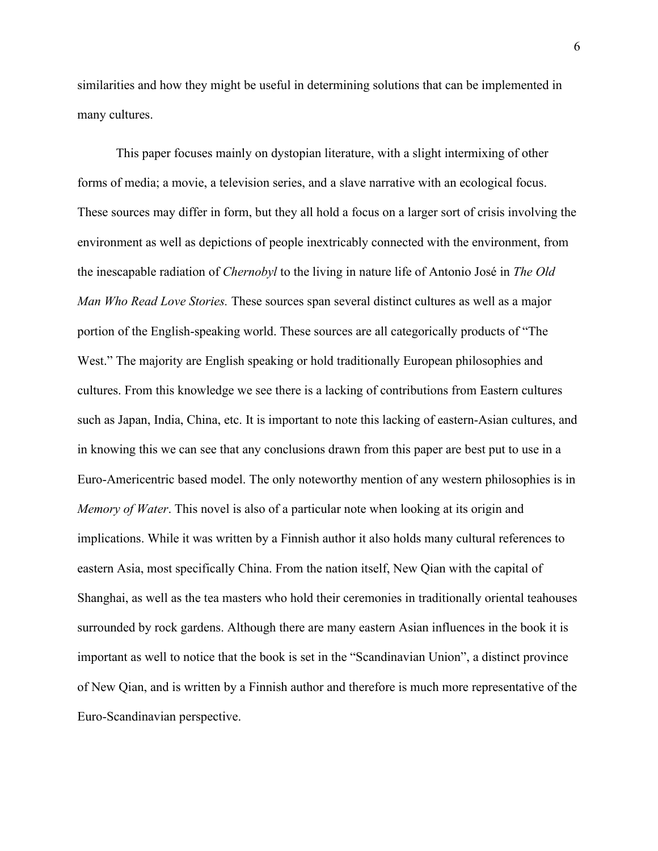similarities and how they might be useful in determining solutions that can be implemented in many cultures.

This paper focuses mainly on dystopian literature, with a slight intermixing of other forms of media; a movie, a television series, and a slave narrative with an ecological focus. These sources may differ in form, but they all hold a focus on a larger sort of crisis involving the environment as well as depictions of people inextricably connected with the environment, from the inescapable radiation of *Chernobyl* to the living in nature life of Antonio José in *The Old Man Who Read Love Stories.* These sources span several distinct cultures as well as a major portion of the English-speaking world. These sources are all categorically products of "The West." The majority are English speaking or hold traditionally European philosophies and cultures. From this knowledge we see there is a lacking of contributions from Eastern cultures such as Japan, India, China, etc. It is important to note this lacking of eastern-Asian cultures, and in knowing this we can see that any conclusions drawn from this paper are best put to use in a Euro-Americentric based model. The only noteworthy mention of any western philosophies is in *Memory of Water*. This novel is also of a particular note when looking at its origin and implications. While it was written by a Finnish author it also holds many cultural references to eastern Asia, most specifically China. From the nation itself, New Qian with the capital of Shanghai, as well as the tea masters who hold their ceremonies in traditionally oriental teahouses surrounded by rock gardens. Although there are many eastern Asian influences in the book it is important as well to notice that the book is set in the "Scandinavian Union", a distinct province of New Qian, and is written by a Finnish author and therefore is much more representative of the Euro-Scandinavian perspective.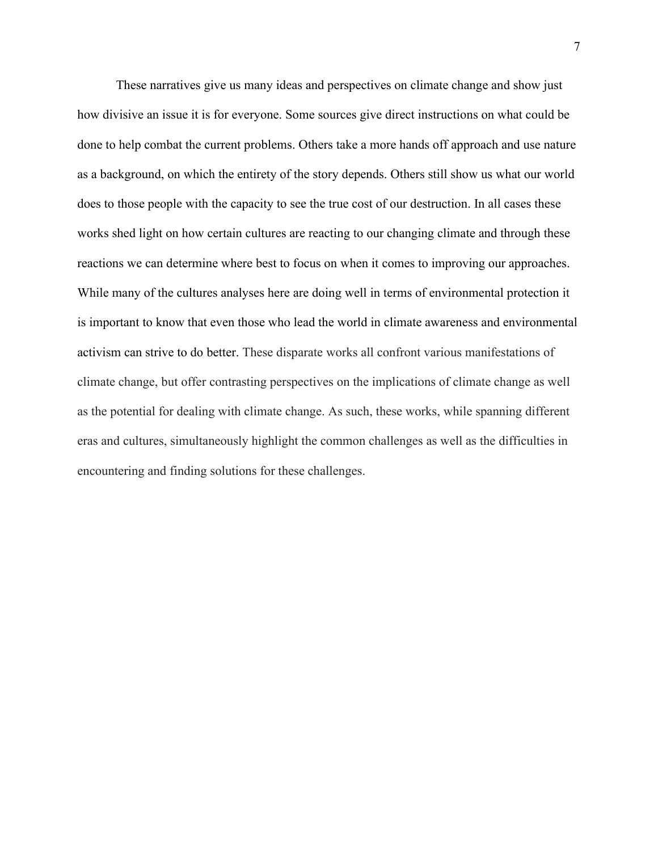These narratives give us many ideas and perspectives on climate change and show just how divisive an issue it is for everyone. Some sources give direct instructions on what could be done to help combat the current problems. Others take a more hands off approach and use nature as a background, on which the entirety of the story depends. Others still show us what our world does to those people with the capacity to see the true cost of our destruction. In all cases these works shed light on how certain cultures are reacting to our changing climate and through these reactions we can determine where best to focus on when it comes to improving our approaches. While many of the cultures analyses here are doing well in terms of environmental protection it is important to know that even those who lead the world in climate awareness and environmental activism can strive to do better. These disparate works all confront various manifestations of climate change, but offer contrasting perspectives on the implications of climate change as well as the potential for dealing with climate change. As such, these works, while spanning different eras and cultures, simultaneously highlight the common challenges as well as the difficulties in encountering and finding solutions for these challenges.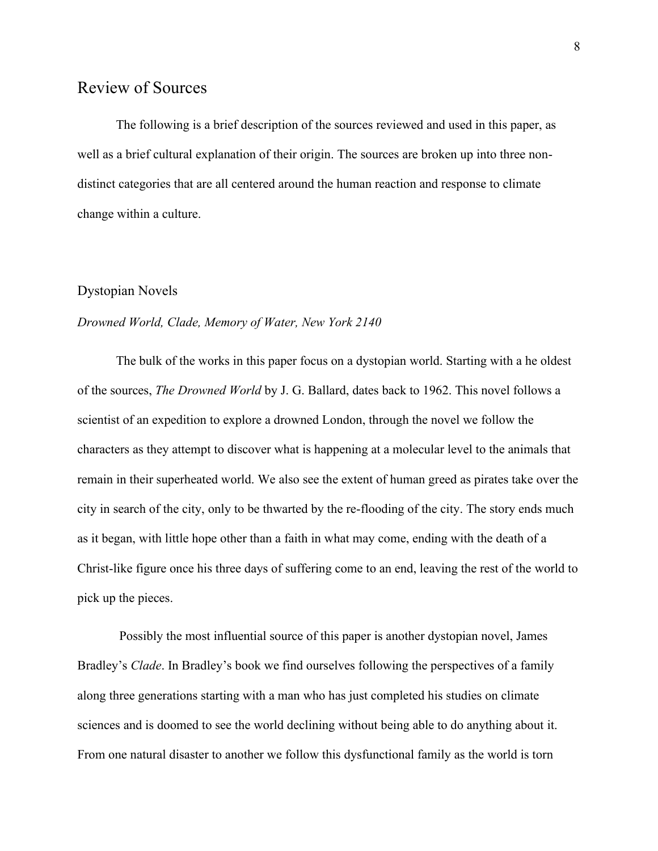## <span id="page-8-0"></span>Review of Sources

The following is a brief description of the sources reviewed and used in this paper, as well as a brief cultural explanation of their origin. The sources are broken up into three nondistinct categories that are all centered around the human reaction and response to climate change within a culture.

#### <span id="page-8-1"></span>Dystopian Novels

#### *Drowned World, Clade, Memory of Water, New York 2140*

The bulk of the works in this paper focus on a dystopian world. Starting with a he oldest of the sources, *The Drowned World* by J. G. Ballard, dates back to 1962. This novel follows a scientist of an expedition to explore a drowned London, through the novel we follow the characters as they attempt to discover what is happening at a molecular level to the animals that remain in their superheated world. We also see the extent of human greed as pirates take over the city in search of the city, only to be thwarted by the re-flooding of the city. The story ends much as it began, with little hope other than a faith in what may come, ending with the death of a Christ-like figure once his three days of suffering come to an end, leaving the rest of the world to pick up the pieces.

Possibly the most influential source of this paper is another dystopian novel, James Bradley's *Clade*. In Bradley's book we find ourselves following the perspectives of a family along three generations starting with a man who has just completed his studies on climate sciences and is doomed to see the world declining without being able to do anything about it. From one natural disaster to another we follow this dysfunctional family as the world is torn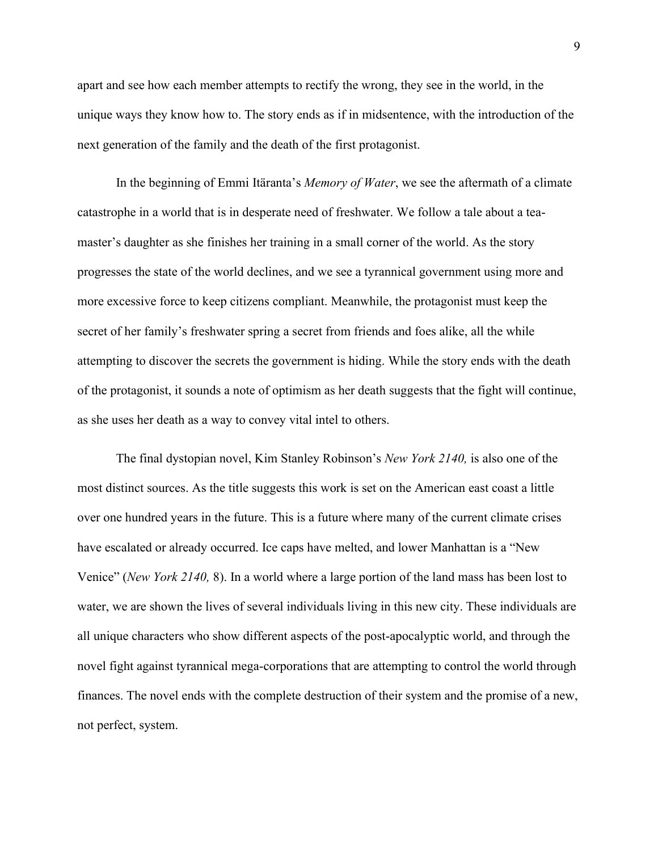apart and see how each member attempts to rectify the wrong, they see in the world, in the unique ways they know how to. The story ends as if in midsentence, with the introduction of the next generation of the family and the death of the first protagonist.

In the beginning of Emmi Itäranta's *Memory of Water*, we see the aftermath of a climate catastrophe in a world that is in desperate need of freshwater. We follow a tale about a teamaster's daughter as she finishes her training in a small corner of the world. As the story progresses the state of the world declines, and we see a tyrannical government using more and more excessive force to keep citizens compliant. Meanwhile, the protagonist must keep the secret of her family's freshwater spring a secret from friends and foes alike, all the while attempting to discover the secrets the government is hiding. While the story ends with the death of the protagonist, it sounds a note of optimism as her death suggests that the fight will continue, as she uses her death as a way to convey vital intel to others.

The final dystopian novel, Kim Stanley Robinson's *New York 2140,* is also one of the most distinct sources. As the title suggests this work is set on the American east coast a little over one hundred years in the future. This is a future where many of the current climate crises have escalated or already occurred. Ice caps have melted, and lower Manhattan is a "New Venice" (*New York 2140,* 8). In a world where a large portion of the land mass has been lost to water, we are shown the lives of several individuals living in this new city. These individuals are all unique characters who show different aspects of the post-apocalyptic world, and through the novel fight against tyrannical mega-corporations that are attempting to control the world through finances. The novel ends with the complete destruction of their system and the promise of a new, not perfect, system.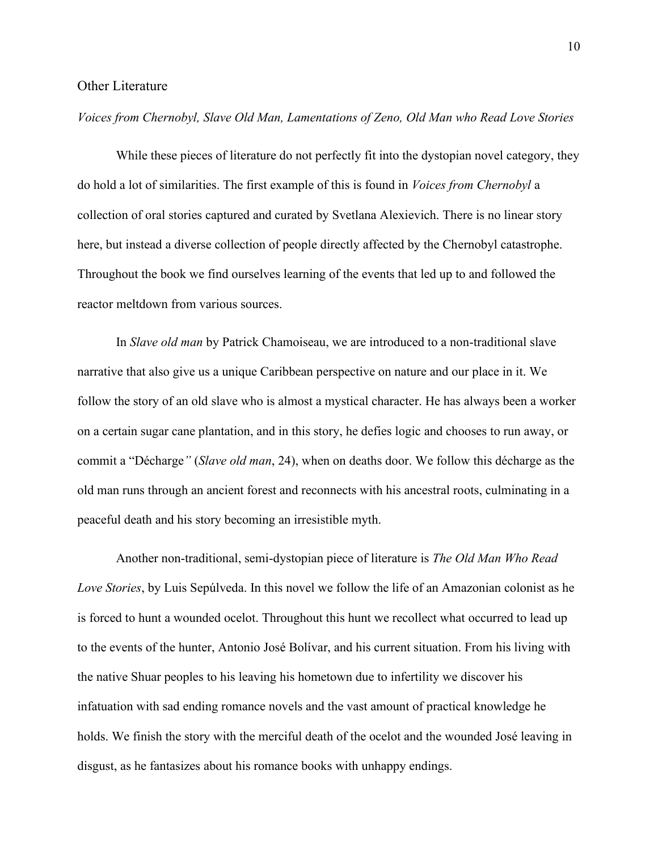#### <span id="page-10-0"></span>Other Literature

#### *Voices from Chernobyl, Slave Old Man, Lamentations of Zeno, Old Man who Read Love Stories*

While these pieces of literature do not perfectly fit into the dystopian novel category, they do hold a lot of similarities. The first example of this is found in *Voices from Chernobyl* a collection of oral stories captured and curated by Svetlana Alexievich. There is no linear story here, but instead a diverse collection of people directly affected by the Chernobyl catastrophe. Throughout the book we find ourselves learning of the events that led up to and followed the reactor meltdown from various sources.

In *Slave old man* by Patrick Chamoiseau, we are introduced to a non-traditional slave narrative that also give us a unique Caribbean perspective on nature and our place in it. We follow the story of an old slave who is almost a mystical character. He has always been a worker on a certain sugar cane plantation, and in this story, he defies logic and chooses to run away, or commit a "Décharge*"* (*Slave old man*, 24), when on deaths door. We follow this décharge as the old man runs through an ancient forest and reconnects with his ancestral roots, culminating in a peaceful death and his story becoming an irresistible myth.

Another non-traditional, semi-dystopian piece of literature is *The Old Man Who Read Love Stories*, by Luis Sepúlveda. In this novel we follow the life of an Amazonian colonist as he is forced to hunt a wounded ocelot. Throughout this hunt we recollect what occurred to lead up to the events of the hunter, Antonio José Bolívar, and his current situation. From his living with the native Shuar peoples to his leaving his hometown due to infertility we discover his infatuation with sad ending romance novels and the vast amount of practical knowledge he holds. We finish the story with the merciful death of the ocelot and the wounded José leaving in disgust, as he fantasizes about his romance books with unhappy endings.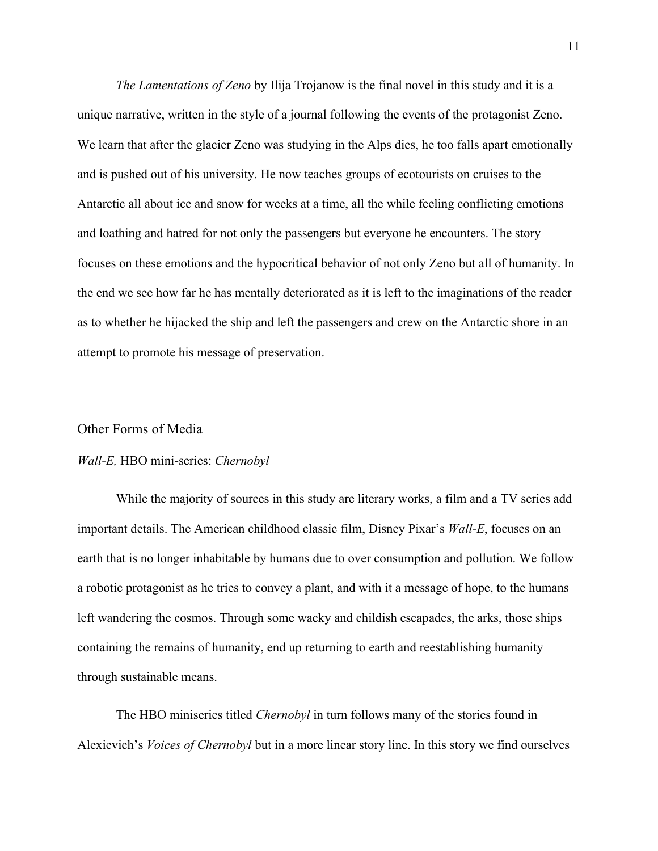*The Lamentations of Zeno* by Ilija Trojanow is the final novel in this study and it is a unique narrative, written in the style of a journal following the events of the protagonist Zeno. We learn that after the glacier Zeno was studying in the Alps dies, he too falls apart emotionally and is pushed out of his university. He now teaches groups of ecotourists on cruises to the Antarctic all about ice and snow for weeks at a time, all the while feeling conflicting emotions and loathing and hatred for not only the passengers but everyone he encounters. The story focuses on these emotions and the hypocritical behavior of not only Zeno but all of humanity. In the end we see how far he has mentally deteriorated as it is left to the imaginations of the reader as to whether he hijacked the ship and left the passengers and crew on the Antarctic shore in an attempt to promote his message of preservation.

#### <span id="page-11-0"></span>Other Forms of Media

#### *Wall-E,* HBO mini-series: *Chernobyl*

While the majority of sources in this study are literary works, a film and a TV series add important details. The American childhood classic film, Disney Pixar's *Wall-E*, focuses on an earth that is no longer inhabitable by humans due to over consumption and pollution. We follow a robotic protagonist as he tries to convey a plant, and with it a message of hope, to the humans left wandering the cosmos. Through some wacky and childish escapades, the arks, those ships containing the remains of humanity, end up returning to earth and reestablishing humanity through sustainable means.

The HBO miniseries titled *Chernobyl* in turn follows many of the stories found in Alexievich's *Voices of Chernobyl* but in a more linear story line. In this story we find ourselves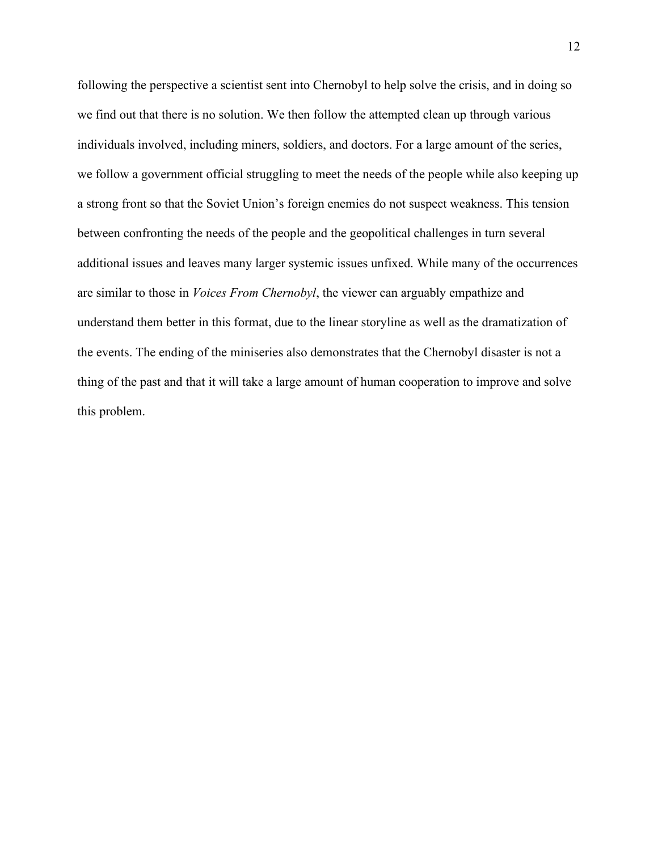following the perspective a scientist sent into Chernobyl to help solve the crisis, and in doing so we find out that there is no solution. We then follow the attempted clean up through various individuals involved, including miners, soldiers, and doctors. For a large amount of the series, we follow a government official struggling to meet the needs of the people while also keeping up a strong front so that the Soviet Union's foreign enemies do not suspect weakness. This tension between confronting the needs of the people and the geopolitical challenges in turn several additional issues and leaves many larger systemic issues unfixed. While many of the occurrences are similar to those in *Voices From Chernobyl*, the viewer can arguably empathize and understand them better in this format, due to the linear storyline as well as the dramatization of the events. The ending of the miniseries also demonstrates that the Chernobyl disaster is not a thing of the past and that it will take a large amount of human cooperation to improve and solve this problem.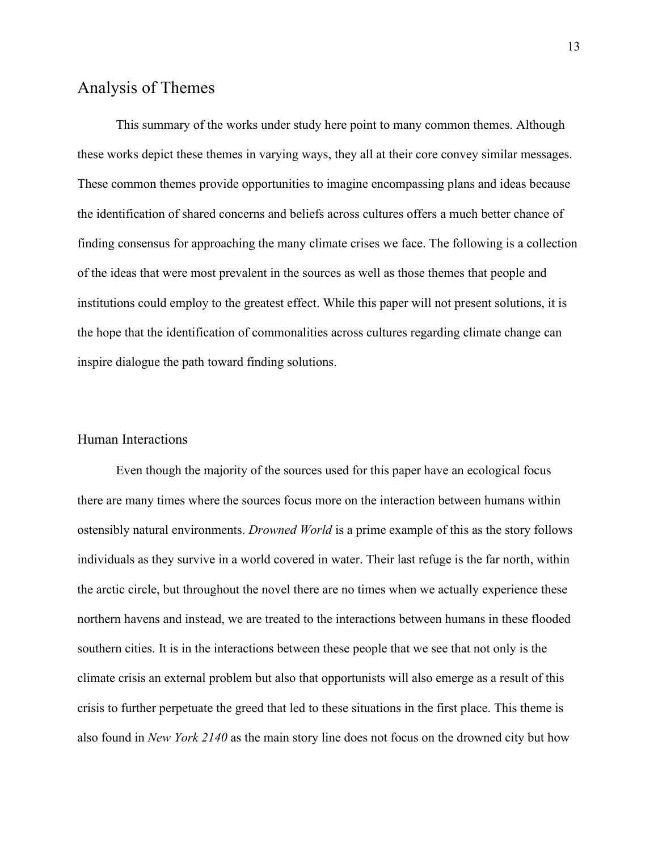# <span id="page-13-0"></span>Analysis of Themes

This summary of the works under study here point to many common themes. Although these works depict these themes in varying ways, they all at their core convey similar messages. These common themes provide opportunities to imagine encompassing plans and ideas because the identification of shared concerns and beliefs across cultures offers a much better chance of finding consensus for approaching the many climate crises we face. The following is a collection of the ideas that were most prevalent in the sources as well as those themes that people and institutions could employ to the greatest effect. While this paper will not present solutions, it is the hope that the identification of commonalities across cultures regarding climate change can inspire dialogue the path toward finding solutions.

#### <span id="page-13-1"></span>Human Interactions

Even though the majority of the sources used for this paper have an ecological focus there are many times where the sources focus more on the interaction between humans within ostensibly natural environments. *Drowned World* is a prime example of this as the story follows individuals as they survive in a world covered in water. Their last refuge is the far north, within the arctic circle, but throughout the novel there are no times when we actually experience these northern havens and instead, we are treated to the interactions between humans in these flooded southern cities. It is in the interactions between these people that we see that not only is the climate crisis an external problem but also that opportunists will also emerge as a result of this crisis to further perpetuate the greed that led to these situations in the first place. This theme is also found in *New York 2140* as the main story line does not focus on the drowned city but how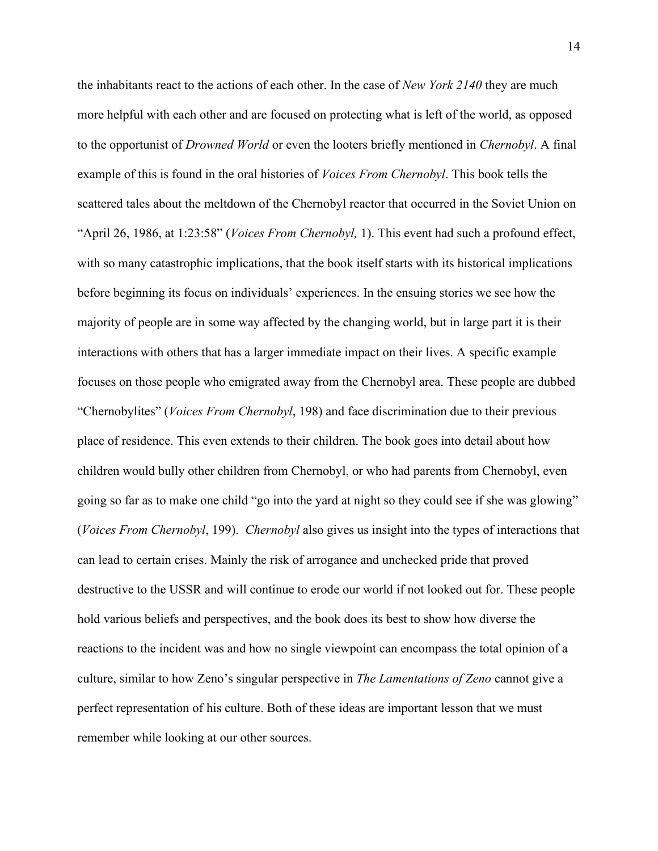the inhabitants react to the actions of each other. In the case of *New York 2140* they are much more helpful with each other and are focused on protecting what is left of the world, as opposed to the opportunist of *Drowned World* or even the looters briefly mentioned in *Chernobyl*. A final example of this is found in the oral histories of *Voices From Chernobyl*. This book tells the scattered tales about the meltdown of the Chernobyl reactor that occurred in the Soviet Union on "April 26, 1986, at 1:23:58" (*Voices From Chernobyl,* 1). This event had such a profound effect, with so many catastrophic implications, that the book itself starts with its historical implications before beginning its focus on individuals' experiences. In the ensuing stories we see how the majority of people are in some way affected by the changing world, but in large part it is their interactions with others that has a larger immediate impact on their lives. A specific example focuses on those people who emigrated away from the Chernobyl area. These people are dubbed "Chernobylites" (*Voices From Chernobyl*, 198) and face discrimination due to their previous place of residence. This even extends to their children. The book goes into detail about how children would bully other children from Chernobyl, or who had parents from Chernobyl, even going so far as to make one child "go into the yard at night so they could see if she was glowing" (*Voices From Chernobyl*, 199). *Chernobyl* also gives us insight into the types of interactions that can lead to certain crises. Mainly the risk of arrogance and unchecked pride that proved destructive to the USSR and will continue to erode our world if not looked out for. These people hold various beliefs and perspectives, and the book does its best to show how diverse the reactions to the incident was and how no single viewpoint can encompass the total opinion of a culture, similar to how Zeno's singular perspective in *The Lamentations of Zeno* cannot give a perfect representation of his culture. Both of these ideas are important lesson that we must remember while looking at our other sources.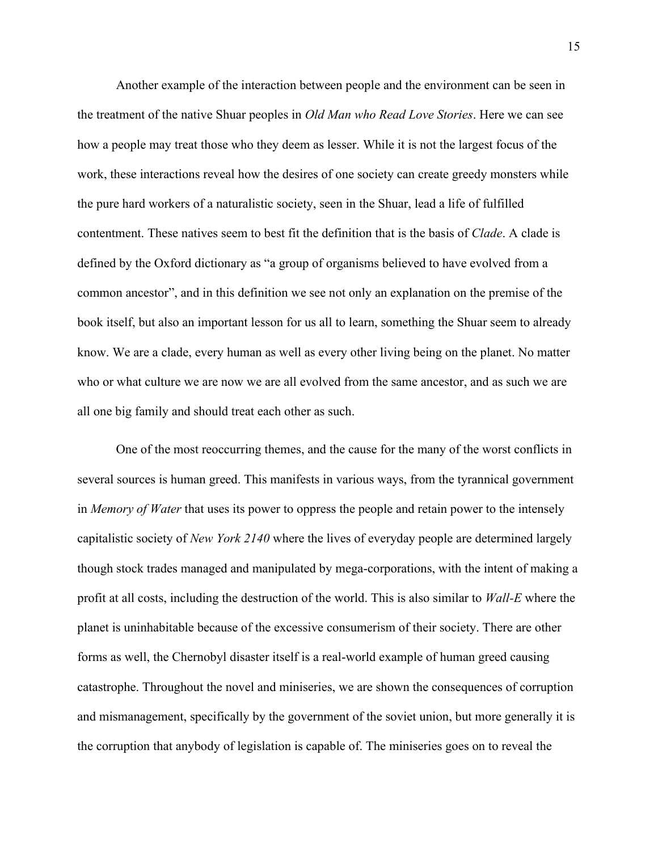Another example of the interaction between people and the environment can be seen in the treatment of the native Shuar peoples in *Old Man who Read Love Stories*. Here we can see how a people may treat those who they deem as lesser. While it is not the largest focus of the work, these interactions reveal how the desires of one society can create greedy monsters while the pure hard workers of a naturalistic society, seen in the Shuar, lead a life of fulfilled contentment. These natives seem to best fit the definition that is the basis of *Clade*. A clade is defined by the Oxford dictionary as "a group of organisms believed to have evolved from a common ancestor", and in this definition we see not only an explanation on the premise of the book itself, but also an important lesson for us all to learn, something the Shuar seem to already know. We are a clade, every human as well as every other living being on the planet. No matter who or what culture we are now we are all evolved from the same ancestor, and as such we are all one big family and should treat each other as such.

One of the most reoccurring themes, and the cause for the many of the worst conflicts in several sources is human greed. This manifests in various ways, from the tyrannical government in *Memory of Water* that uses its power to oppress the people and retain power to the intensely capitalistic society of *New York 2140* where the lives of everyday people are determined largely though stock trades managed and manipulated by mega-corporations, with the intent of making a profit at all costs, including the destruction of the world. This is also similar to *Wall-E* where the planet is uninhabitable because of the excessive consumerism of their society. There are other forms as well, the Chernobyl disaster itself is a real-world example of human greed causing catastrophe. Throughout the novel and miniseries, we are shown the consequences of corruption and mismanagement, specifically by the government of the soviet union, but more generally it is the corruption that anybody of legislation is capable of. The miniseries goes on to reveal the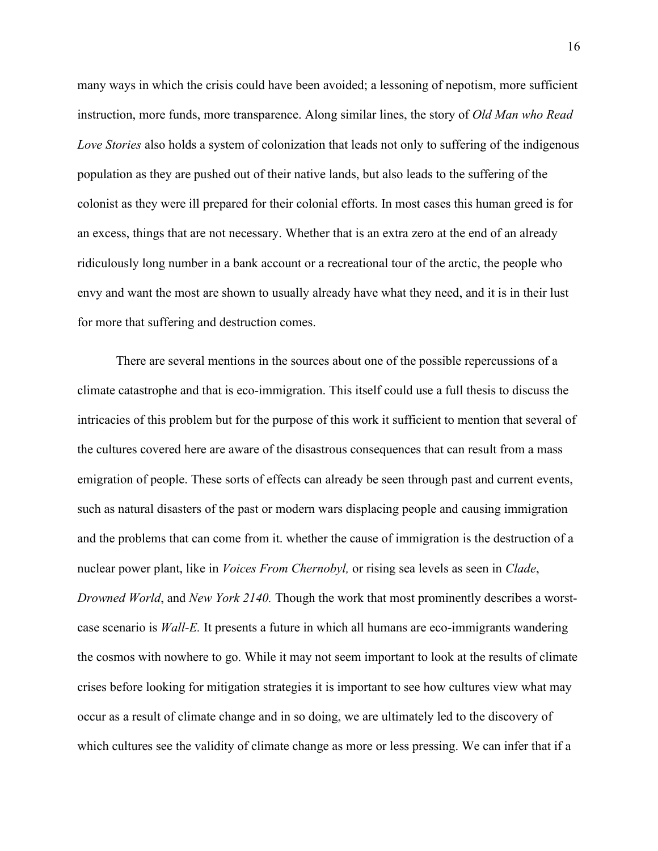many ways in which the crisis could have been avoided; a lessoning of nepotism, more sufficient instruction, more funds, more transparence. Along similar lines, the story of *Old Man who Read Love Stories* also holds a system of colonization that leads not only to suffering of the indigenous population as they are pushed out of their native lands, but also leads to the suffering of the colonist as they were ill prepared for their colonial efforts. In most cases this human greed is for an excess, things that are not necessary. Whether that is an extra zero at the end of an already ridiculously long number in a bank account or a recreational tour of the arctic, the people who envy and want the most are shown to usually already have what they need, and it is in their lust for more that suffering and destruction comes.

There are several mentions in the sources about one of the possible repercussions of a climate catastrophe and that is eco-immigration. This itself could use a full thesis to discuss the intricacies of this problem but for the purpose of this work it sufficient to mention that several of the cultures covered here are aware of the disastrous consequences that can result from a mass emigration of people. These sorts of effects can already be seen through past and current events, such as natural disasters of the past or modern wars displacing people and causing immigration and the problems that can come from it. whether the cause of immigration is the destruction of a nuclear power plant, like in *Voices From Chernobyl,* or rising sea levels as seen in *Clade*, *Drowned World*, and *New York 2140.* Though the work that most prominently describes a worstcase scenario is *Wall-E.* It presents a future in which all humans are eco-immigrants wandering the cosmos with nowhere to go. While it may not seem important to look at the results of climate crises before looking for mitigation strategies it is important to see how cultures view what may occur as a result of climate change and in so doing, we are ultimately led to the discovery of which cultures see the validity of climate change as more or less pressing. We can infer that if a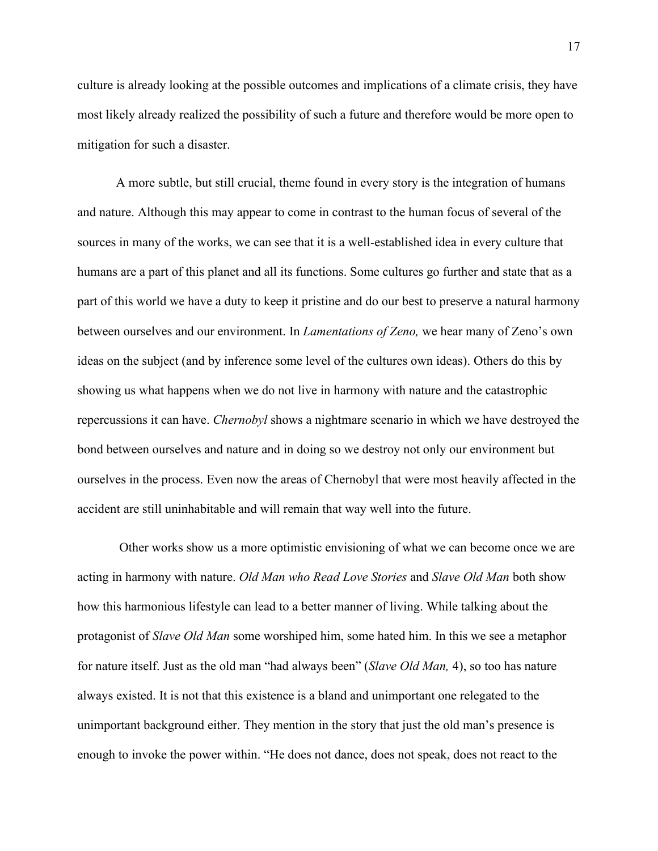culture is already looking at the possible outcomes and implications of a climate crisis, they have most likely already realized the possibility of such a future and therefore would be more open to mitigation for such a disaster.

A more subtle, but still crucial, theme found in every story is the integration of humans and nature. Although this may appear to come in contrast to the human focus of several of the sources in many of the works, we can see that it is a well-established idea in every culture that humans are a part of this planet and all its functions. Some cultures go further and state that as a part of this world we have a duty to keep it pristine and do our best to preserve a natural harmony between ourselves and our environment. In *Lamentations of Zeno,* we hear many of Zeno's own ideas on the subject (and by inference some level of the cultures own ideas). Others do this by showing us what happens when we do not live in harmony with nature and the catastrophic repercussions it can have. *Chernobyl* shows a nightmare scenario in which we have destroyed the bond between ourselves and nature and in doing so we destroy not only our environment but ourselves in the process. Even now the areas of Chernobyl that were most heavily affected in the accident are still uninhabitable and will remain that way well into the future.

Other works show us a more optimistic envisioning of what we can become once we are acting in harmony with nature. *Old Man who Read Love Stories* and *Slave Old Man* both show how this harmonious lifestyle can lead to a better manner of living. While talking about the protagonist of *Slave Old Man* some worshiped him, some hated him. In this we see a metaphor for nature itself. Just as the old man "had always been" (*Slave Old Man,* 4), so too has nature always existed. It is not that this existence is a bland and unimportant one relegated to the unimportant background either. They mention in the story that just the old man's presence is enough to invoke the power within. "He does not dance, does not speak, does not react to the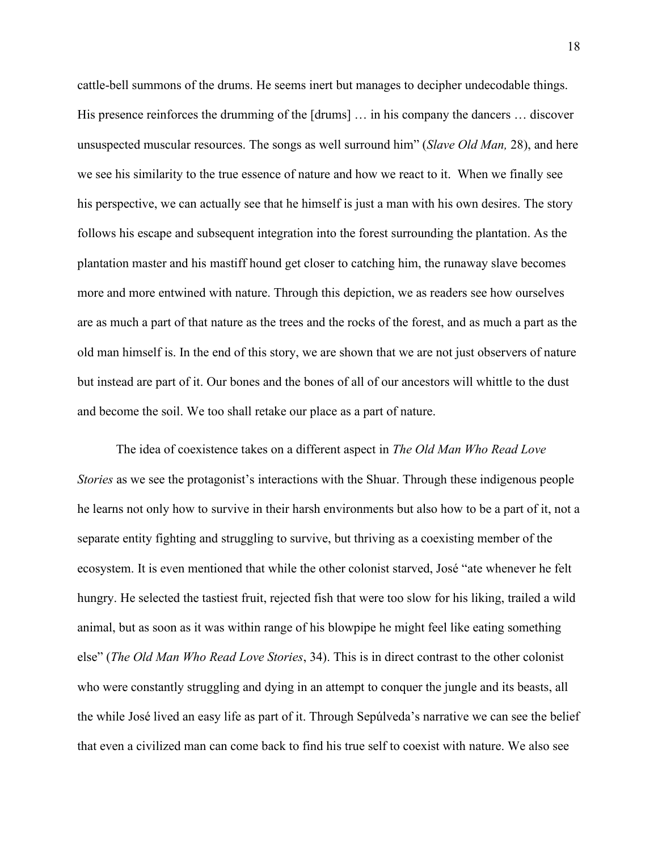cattle-bell summons of the drums. He seems inert but manages to decipher undecodable things. His presence reinforces the drumming of the [drums] … in his company the dancers … discover unsuspected muscular resources. The songs as well surround him" (*Slave Old Man,* 28), and here we see his similarity to the true essence of nature and how we react to it. When we finally see his perspective, we can actually see that he himself is just a man with his own desires. The story follows his escape and subsequent integration into the forest surrounding the plantation. As the plantation master and his mastiff hound get closer to catching him, the runaway slave becomes more and more entwined with nature. Through this depiction, we as readers see how ourselves are as much a part of that nature as the trees and the rocks of the forest, and as much a part as the old man himself is. In the end of this story, we are shown that we are not just observers of nature but instead are part of it. Our bones and the bones of all of our ancestors will whittle to the dust and become the soil. We too shall retake our place as a part of nature.

The idea of coexistence takes on a different aspect in *The Old Man Who Read Love Stories* as we see the protagonist's interactions with the Shuar. Through these indigenous people he learns not only how to survive in their harsh environments but also how to be a part of it, not a separate entity fighting and struggling to survive, but thriving as a coexisting member of the ecosystem. It is even mentioned that while the other colonist starved, José "ate whenever he felt hungry. He selected the tastiest fruit, rejected fish that were too slow for his liking, trailed a wild animal, but as soon as it was within range of his blowpipe he might feel like eating something else" (*The Old Man Who Read Love Stories*, 34). This is in direct contrast to the other colonist who were constantly struggling and dying in an attempt to conquer the jungle and its beasts, all the while José lived an easy life as part of it. Through Sepúlveda's narrative we can see the belief that even a civilized man can come back to find his true self to coexist with nature. We also see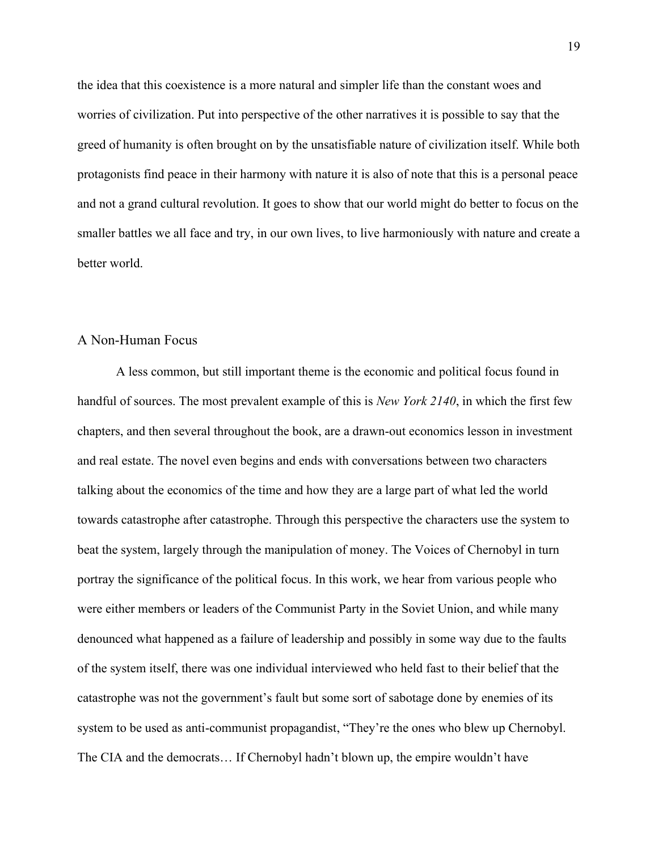the idea that this coexistence is a more natural and simpler life than the constant woes and worries of civilization. Put into perspective of the other narratives it is possible to say that the greed of humanity is often brought on by the unsatisfiable nature of civilization itself. While both protagonists find peace in their harmony with nature it is also of note that this is a personal peace and not a grand cultural revolution. It goes to show that our world might do better to focus on the smaller battles we all face and try, in our own lives, to live harmoniously with nature and create a better world.

#### <span id="page-19-0"></span>A Non-Human Focus

A less common, but still important theme is the economic and political focus found in handful of sources. The most prevalent example of this is *New York 2140*, in which the first few chapters, and then several throughout the book, are a drawn-out economics lesson in investment and real estate. The novel even begins and ends with conversations between two characters talking about the economics of the time and how they are a large part of what led the world towards catastrophe after catastrophe. Through this perspective the characters use the system to beat the system, largely through the manipulation of money. The Voices of Chernobyl in turn portray the significance of the political focus. In this work, we hear from various people who were either members or leaders of the Communist Party in the Soviet Union, and while many denounced what happened as a failure of leadership and possibly in some way due to the faults of the system itself, there was one individual interviewed who held fast to their belief that the catastrophe was not the government's fault but some sort of sabotage done by enemies of its system to be used as anti-communist propagandist, "They're the ones who blew up Chernobyl. The CIA and the democrats… If Chernobyl hadn't blown up, the empire wouldn't have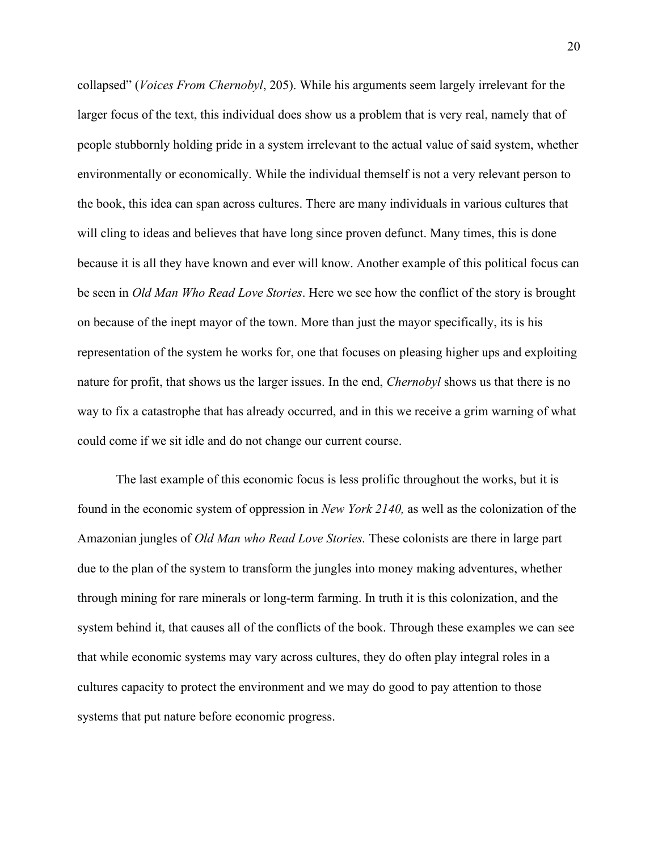collapsed" (*Voices From Chernobyl*, 205). While his arguments seem largely irrelevant for the larger focus of the text, this individual does show us a problem that is very real, namely that of people stubbornly holding pride in a system irrelevant to the actual value of said system, whether environmentally or economically. While the individual themself is not a very relevant person to the book, this idea can span across cultures. There are many individuals in various cultures that will cling to ideas and believes that have long since proven defunct. Many times, this is done because it is all they have known and ever will know. Another example of this political focus can be seen in *Old Man Who Read Love Stories*. Here we see how the conflict of the story is brought on because of the inept mayor of the town. More than just the mayor specifically, its is his representation of the system he works for, one that focuses on pleasing higher ups and exploiting nature for profit, that shows us the larger issues. In the end, *Chernobyl* shows us that there is no way to fix a catastrophe that has already occurred, and in this we receive a grim warning of what could come if we sit idle and do not change our current course.

The last example of this economic focus is less prolific throughout the works, but it is found in the economic system of oppression in *New York 2140,* as well as the colonization of the Amazonian jungles of *Old Man who Read Love Stories.* These colonists are there in large part due to the plan of the system to transform the jungles into money making adventures, whether through mining for rare minerals or long-term farming. In truth it is this colonization, and the system behind it, that causes all of the conflicts of the book. Through these examples we can see that while economic systems may vary across cultures, they do often play integral roles in a cultures capacity to protect the environment and we may do good to pay attention to those systems that put nature before economic progress.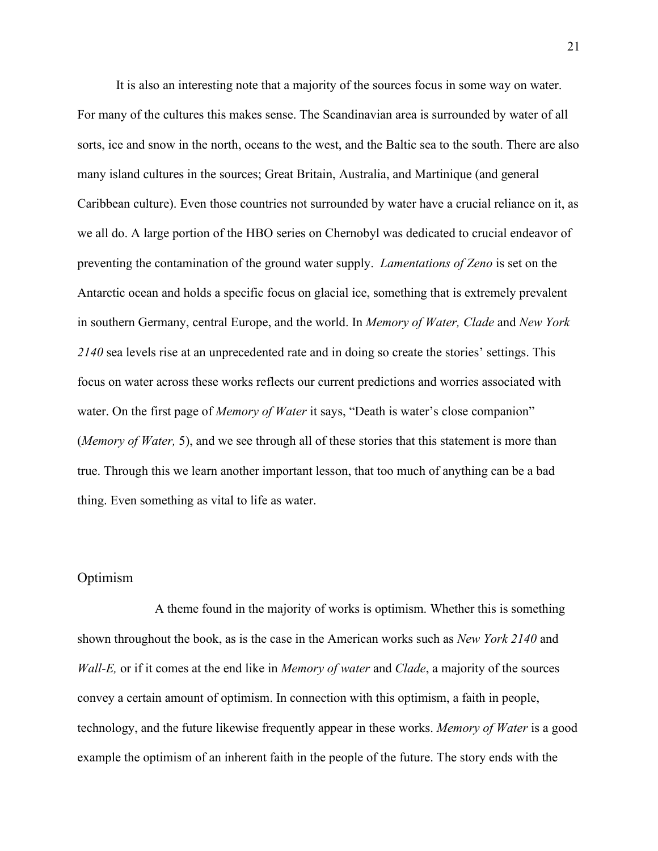It is also an interesting note that a majority of the sources focus in some way on water. For many of the cultures this makes sense. The Scandinavian area is surrounded by water of all sorts, ice and snow in the north, oceans to the west, and the Baltic sea to the south. There are also many island cultures in the sources; Great Britain, Australia, and Martinique (and general Caribbean culture). Even those countries not surrounded by water have a crucial reliance on it, as we all do. A large portion of the HBO series on Chernobyl was dedicated to crucial endeavor of preventing the contamination of the ground water supply. *Lamentations of Zeno* is set on the Antarctic ocean and holds a specific focus on glacial ice, something that is extremely prevalent in southern Germany, central Europe, and the world. In *Memory of Water, Clade* and *New York 2140* sea levels rise at an unprecedented rate and in doing so create the stories' settings. This focus on water across these works reflects our current predictions and worries associated with water. On the first page of *Memory of Water* it says, "Death is water's close companion" (*Memory of Water,* 5), and we see through all of these stories that this statement is more than true. Through this we learn another important lesson, that too much of anything can be a bad thing. Even something as vital to life as water.

#### <span id="page-21-0"></span>Optimism

A theme found in the majority of works is optimism. Whether this is something shown throughout the book, as is the case in the American works such as *New York 2140* and *Wall-E,* or if it comes at the end like in *Memory of water* and *Clade*, a majority of the sources convey a certain amount of optimism. In connection with this optimism, a faith in people, technology, and the future likewise frequently appear in these works. *Memory of Water* is a good example the optimism of an inherent faith in the people of the future. The story ends with the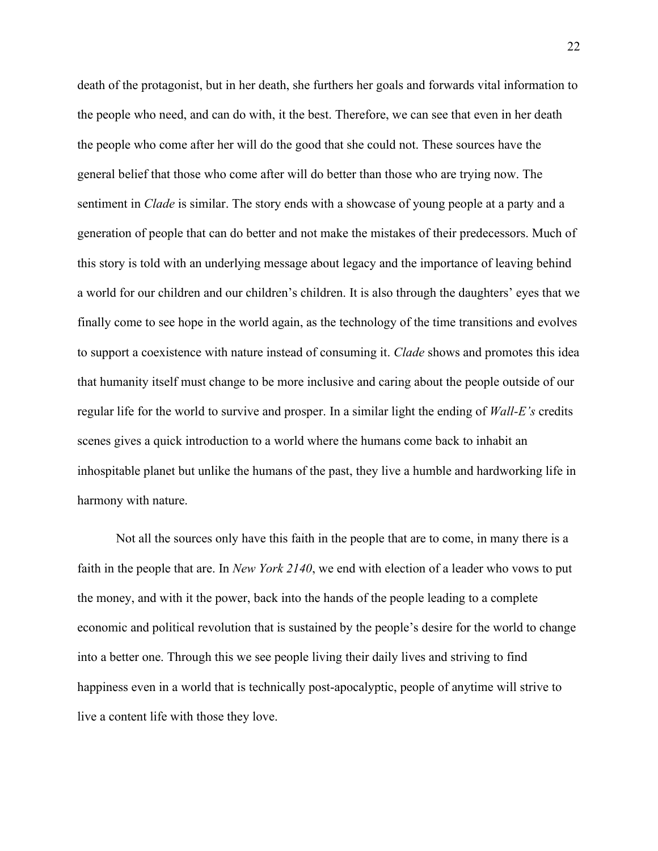death of the protagonist, but in her death, she furthers her goals and forwards vital information to the people who need, and can do with, it the best. Therefore, we can see that even in her death the people who come after her will do the good that she could not. These sources have the general belief that those who come after will do better than those who are trying now. The sentiment in *Clade* is similar. The story ends with a showcase of young people at a party and a generation of people that can do better and not make the mistakes of their predecessors. Much of this story is told with an underlying message about legacy and the importance of leaving behind a world for our children and our children's children. It is also through the daughters' eyes that we finally come to see hope in the world again, as the technology of the time transitions and evolves to support a coexistence with nature instead of consuming it. *Clade* shows and promotes this idea that humanity itself must change to be more inclusive and caring about the people outside of our regular life for the world to survive and prosper. In a similar light the ending of *Wall-E's* credits scenes gives a quick introduction to a world where the humans come back to inhabit an inhospitable planet but unlike the humans of the past, they live a humble and hardworking life in harmony with nature.

Not all the sources only have this faith in the people that are to come, in many there is a faith in the people that are. In *New York 2140*, we end with election of a leader who vows to put the money, and with it the power, back into the hands of the people leading to a complete economic and political revolution that is sustained by the people's desire for the world to change into a better one. Through this we see people living their daily lives and striving to find happiness even in a world that is technically post-apocalyptic, people of anytime will strive to live a content life with those they love.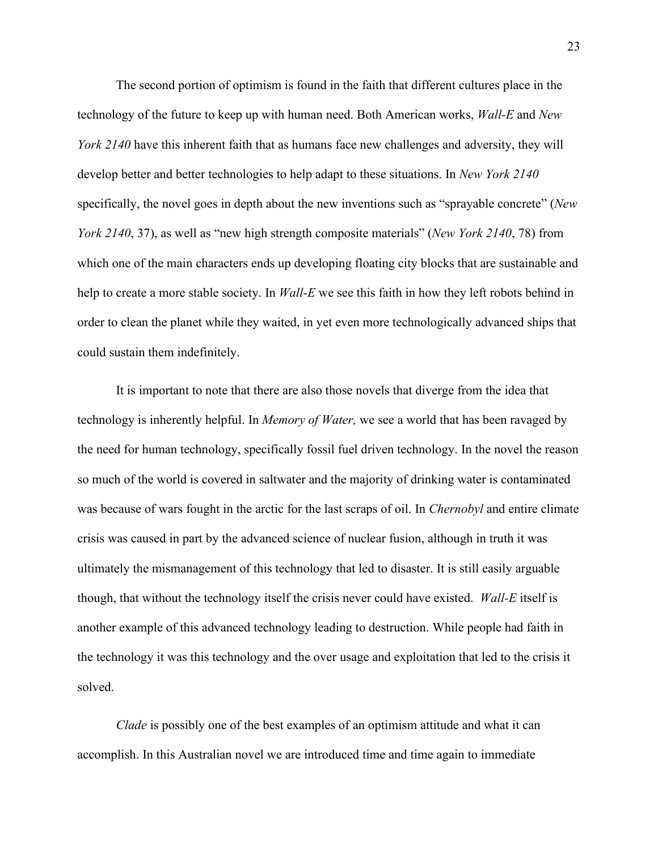The second portion of optimism is found in the faith that different cultures place in the technology of the future to keep up with human need. Both American works, *Wall-E* and *New York 2140* have this inherent faith that as humans face new challenges and adversity, they will develop better and better technologies to help adapt to these situations. In *New York 2140* specifically, the novel goes in depth about the new inventions such as "sprayable concrete" (*New York 2140*, 37), as well as "new high strength composite materials" (*New York 2140*, 78) from which one of the main characters ends up developing floating city blocks that are sustainable and help to create a more stable society. In *Wall-E* we see this faith in how they left robots behind in order to clean the planet while they waited, in yet even more technologically advanced ships that could sustain them indefinitely.

It is important to note that there are also those novels that diverge from the idea that technology is inherently helpful. In *Memory of Water,* we see a world that has been ravaged by the need for human technology, specifically fossil fuel driven technology. In the novel the reason so much of the world is covered in saltwater and the majority of drinking water is contaminated was because of wars fought in the arctic for the last scraps of oil. In *Chernobyl* and entire climate crisis was caused in part by the advanced science of nuclear fusion, although in truth it was ultimately the mismanagement of this technology that led to disaster. It is still easily arguable though, that without the technology itself the crisis never could have existed. *Wall-E* itself is another example of this advanced technology leading to destruction. While people had faith in the technology it was this technology and the over usage and exploitation that led to the crisis it solved.

*Clade* is possibly one of the best examples of an optimism attitude and what it can accomplish. In this Australian novel we are introduced time and time again to immediate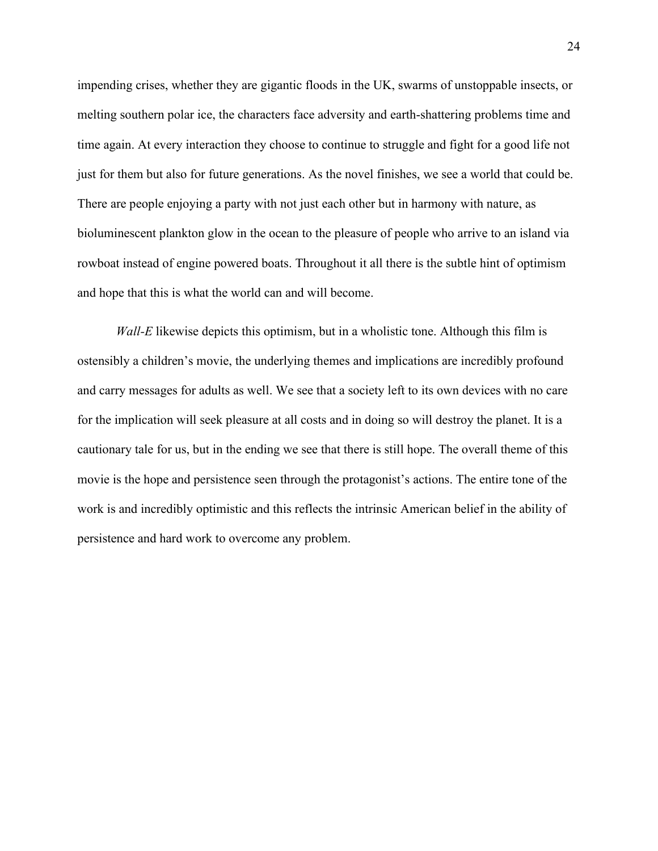impending crises, whether they are gigantic floods in the UK, swarms of unstoppable insects, or melting southern polar ice, the characters face adversity and earth-shattering problems time and time again. At every interaction they choose to continue to struggle and fight for a good life not just for them but also for future generations. As the novel finishes, we see a world that could be. There are people enjoying a party with not just each other but in harmony with nature, as bioluminescent plankton glow in the ocean to the pleasure of people who arrive to an island via rowboat instead of engine powered boats. Throughout it all there is the subtle hint of optimism and hope that this is what the world can and will become.

*Wall-E* likewise depicts this optimism, but in a wholistic tone. Although this film is ostensibly a children's movie, the underlying themes and implications are incredibly profound and carry messages for adults as well. We see that a society left to its own devices with no care for the implication will seek pleasure at all costs and in doing so will destroy the planet. It is a cautionary tale for us, but in the ending we see that there is still hope. The overall theme of this movie is the hope and persistence seen through the protagonist's actions. The entire tone of the work is and incredibly optimistic and this reflects the intrinsic American belief in the ability of persistence and hard work to overcome any problem.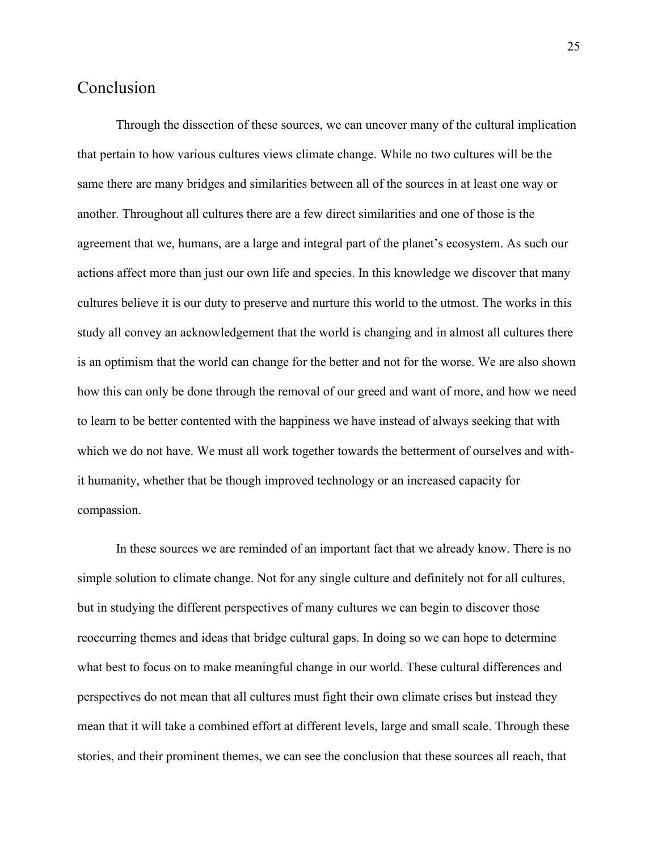## <span id="page-25-0"></span>Conclusion

Through the dissection of these sources, we can uncover many of the cultural implication that pertain to how various cultures views climate change. While no two cultures will be the same there are many bridges and similarities between all of the sources in at least one way or another. Throughout all cultures there are a few direct similarities and one of those is the agreement that we, humans, are a large and integral part of the planet's ecosystem. As such our actions affect more than just our own life and species. In this knowledge we discover that many cultures believe it is our duty to preserve and nurture this world to the utmost. The works in this study all convey an acknowledgement that the world is changing and in almost all cultures there is an optimism that the world can change for the better and not for the worse. We are also shown how this can only be done through the removal of our greed and want of more, and how we need to learn to be better contented with the happiness we have instead of always seeking that with which we do not have. We must all work together towards the betterment of ourselves and withit humanity, whether that be though improved technology or an increased capacity for compassion.

In these sources we are reminded of an important fact that we already know. There is no simple solution to climate change. Not for any single culture and definitely not for all cultures, but in studying the different perspectives of many cultures we can begin to discover those reoccurring themes and ideas that bridge cultural gaps. In doing so we can hope to determine what best to focus on to make meaningful change in our world. These cultural differences and perspectives do not mean that all cultures must fight their own climate crises but instead they mean that it will take a combined effort at different levels, large and small scale. Through these stories, and their prominent themes, we can see the conclusion that these sources all reach, that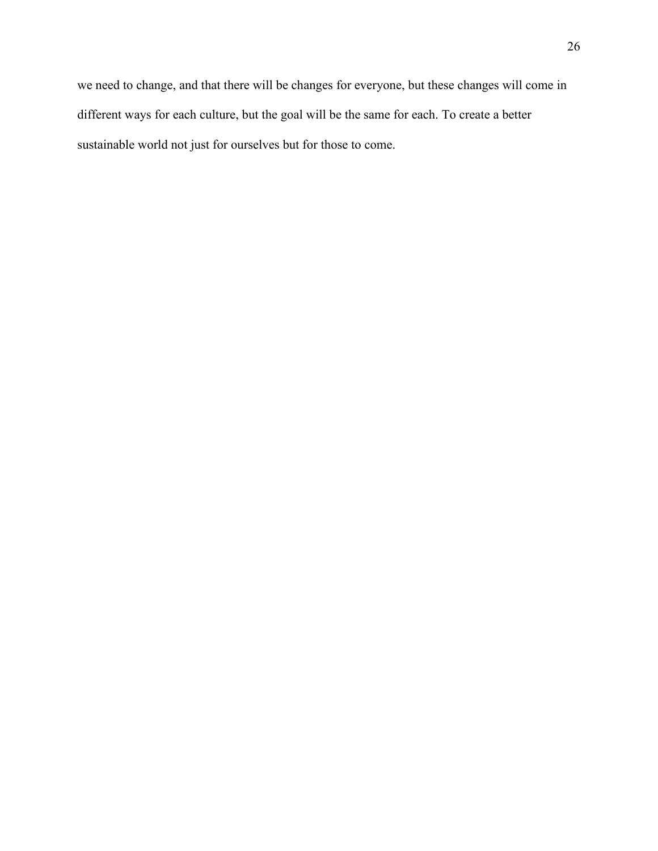we need to change, and that there will be changes for everyone, but these changes will come in different ways for each culture, but the goal will be the same for each. To create a better sustainable world not just for ourselves but for those to come.